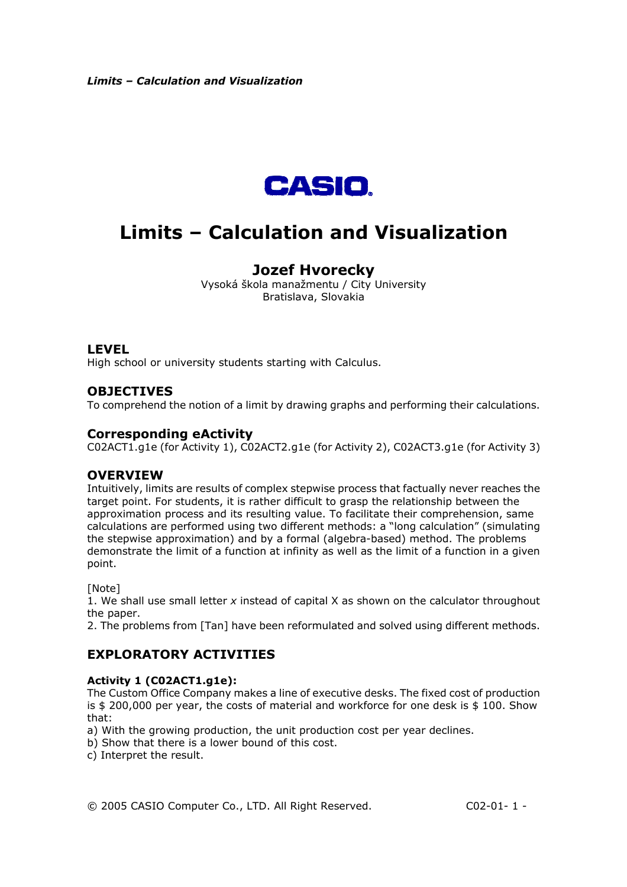

## **Jozef Hvorecky**

Vysoká škola manažmentu / City University Bratislava, Slovakia

## **LEVEL**

High school or university students starting with Calculus.

## **OBJECTIVES**

To comprehend the notion of a limit by drawing graphs and performing their calculations.

## **Corresponding eActivity**

C02ACT1.g1e (for Activity 1), C02ACT2.g1e (for Activity 2), C02ACT3.g1e (for Activity 3)

## **OVERVIEW**

Intuitively, limits are results of complex stepwise process that factually never reaches the target point. For students, it is rather difficult to grasp the relationship between the approximation process and its resulting value. To facilitate their comprehension, same calculations are performed using two different methods: a "long calculation" (simulating the stepwise approximation) and by a formal (algebra-based) method. The problems demonstrate the limit of a function at infinity as well as the limit of a function in a given point.

[Note]

1. We shall use small letter *x* instead of capital X as shown on the calculator throughout the paper.

2. The problems from [Tan] have been reformulated and solved using different methods.

## **EXPLORATORY ACTIVITIES**

### **Activity 1 (C02ACT1.g1e):**

The Custom Office Company makes a line of executive desks. The fixed cost of production is  $$200,000$  per year, the costs of material and workforce for one desk is  $$100$ . Show that:

- a) With the growing production, the unit production cost per year declines.
- b) Show that there is a lower bound of this cost.
- c) Interpret the result.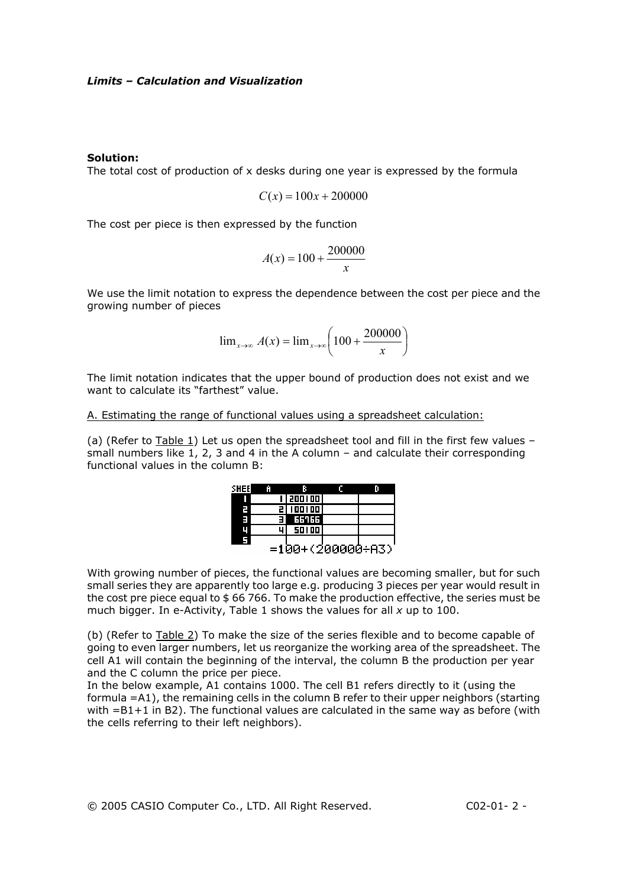#### **Solution:**

The total cost of production of x desks during one year is expressed by the formula

$$
C(x) = 100x + 200000
$$

The cost per piece is then expressed by the function

$$
A(x) = 100 + \frac{200000}{x}
$$

We use the limit notation to express the dependence between the cost per piece and the growing number of pieces

$$
\lim_{x \to \infty} A(x) = \lim_{x \to \infty} \left( 100 + \frac{200000}{x} \right)
$$

The limit notation indicates that the upper bound of production does not exist and we want to calculate its "farthest" value.

A. Estimating the range of functional values using a spreadsheet calculation:

(a) (Refer to Table 1) Let us open the spreadsheet tool and fill in the first few values – small numbers like 1, 2, 3 and 4 in the A column – and calculate their corresponding functional values in the column B:

| SHEEL | m | R                |  |
|-------|---|------------------|--|
|       |   | i   200 i 00     |  |
| 7     |   | 5 100 100        |  |
| E     |   | 55155            |  |
| Ц     |   | 50100            |  |
| F     |   |                  |  |
|       |   | =100+(200000÷A3) |  |

With growing number of pieces, the functional values are becoming smaller, but for such small series they are apparently too large e.g. producing 3 pieces per year would result in the cost pre piece equal to \$ 66 766. To make the production effective, the series must be much bigger. In e-Activity, Table 1 shows the values for all *x* up to 100.

(b) (Refer to Table 2) To make the size of the series flexible and to become capable of going to even larger numbers, let us reorganize the working area of the spreadsheet. The cell A1 will contain the beginning of the interval, the column B the production per year and the C column the price per piece.

In the below example, A1 contains 1000. The cell B1 refers directly to it (using the formula =A1), the remaining cells in the column B refer to their upper neighbors (starting with =B1+1 in B2). The functional values are calculated in the same way as before (with the cells referring to their left neighbors).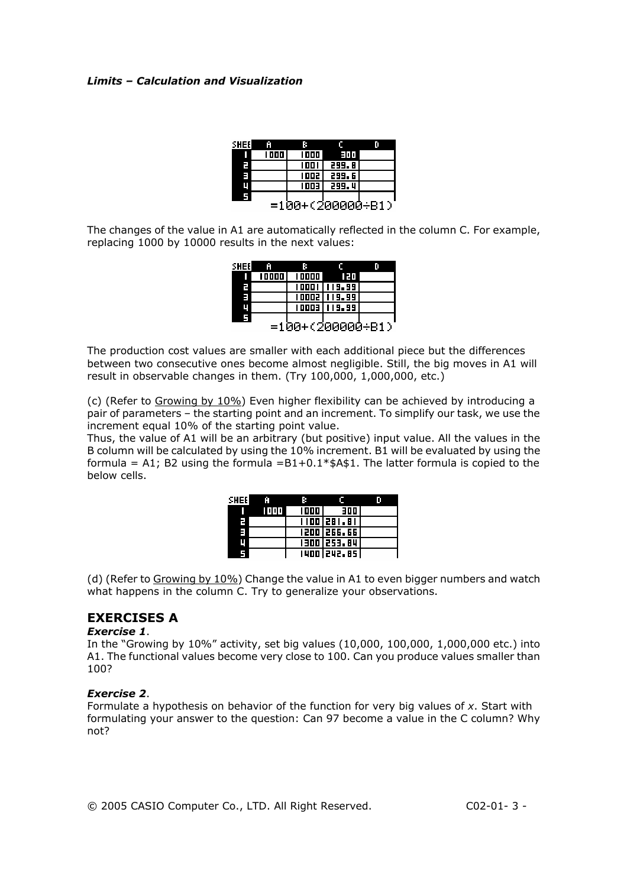| SHEEI | m    | в            |                  |  |
|-------|------|--------------|------------------|--|
| Π     | 1000 | 1000         | EMT.             |  |
| Ľ     |      | 1001         | 299.8            |  |
| Ξ     |      | 1002         | 299.6            |  |
| ц     |      | <b>EDD 1</b> | 299.4            |  |
| 5     |      |              |                  |  |
|       |      |              | =100+(200000÷B1) |  |

The changes of the value in A1 are automatically reflected in the column C. For example, replacing 1000 by 10000 results in the next values:

| SHEEI              | ю     | в      |                |  |
|--------------------|-------|--------|----------------|--|
| ı                  | 10000 | 100001 | 120            |  |
| г                  |       |        | 10001 119.99 1 |  |
| E                  |       |        | 10002   119.99 |  |
| Ц                  |       |        | 10003   119.99 |  |
| 5                  |       |        |                |  |
| $=100+(200000+B1)$ |       |        |                |  |

The production cost values are smaller with each additional piece but the differences between two consecutive ones become almost negligible. Still, the big moves in A1 will result in observable changes in them. (Try 100,000, 1,000,000, etc.)

(c) (Refer to Growing by 10%) Even higher flexibility can be achieved by introducing a pair of parameters – the starting point and an increment. To simplify our task, we use the increment equal 10% of the starting point value.

Thus, the value of A1 will be an arbitrary (but positive) input value. All the values in the B column will be calculated by using the 10% increment. B1 will be evaluated by using the formula = A1; B2 using the formula =  $B1+0.1*$ \$A\$1. The latter formula is copied to the below cells.

| SHEEL | m    | в      |             |  |
|-------|------|--------|-------------|--|
|       | 1000 | 1000 I | 300 l       |  |
| Z     |      |        | 1100 281.81 |  |
| н     |      |        | 1500 566.66 |  |
| Ц     |      |        | 1300 253.84 |  |
| 5     |      |        | 1400 242.85 |  |

(d) (Refer to Growing by  $10\%$ ) Change the value in A1 to even bigger numbers and watch what happens in the column C. Try to generalize your observations.

## **EXERCISES A**

## *Exercise 1*.

In the "Growing by 10%" activity, set big values (10,000, 100,000, 1,000,000 etc.) into A1. The functional values become very close to 100. Can you produce values smaller than 100?

### *Exercise 2*.

Formulate a hypothesis on behavior of the function for very big values of *x*. Start with formulating your answer to the question: Can 97 become a value in the C column? Why not?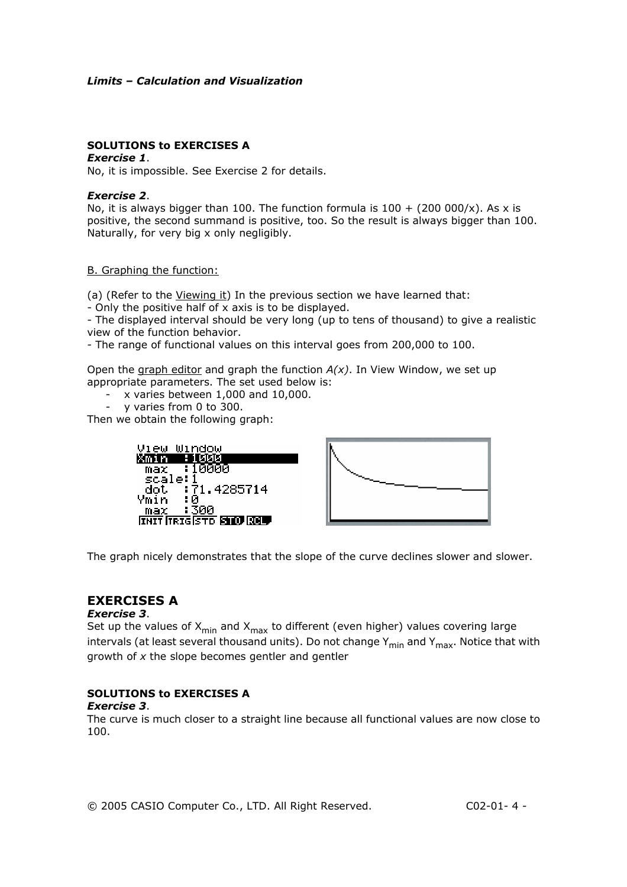## **SOLUTIONS to EXERCISES A**

#### *Exercise 1*.

No, it is impossible. See Exercise 2 for details.

#### *Exercise 2*.

No, it is always bigger than 100. The function formula is  $100 + (200000/x)$ . As x is positive, the second summand is positive, too. So the result is always bigger than 100. Naturally, for very big x only negligibly.

#### B. Graphing the function:

(a) (Refer to the Viewing it) In the previous section we have learned that:

- Only the positive half of x axis is to be displayed.

- The displayed interval should be very long (up to tens of thousand) to give a realistic view of the function behavior.

- The range of functional values on this interval goes from 200,000 to 100.

Open the graph editor and graph the function *A(x)*. In View Window, we set up appropriate parameters. The set used below is:

- x varies between 1,000 and 10,000.
- y varies from 0 to 300.

Then we obtain the following graph:



The graph nicely demonstrates that the slope of the curve declines slower and slower.

## **EXERCISES A**

#### *Exercise 3*.

Set up the values of  $X_{min}$  and  $X_{max}$  to different (even higher) values covering large intervals (at least several thousand units). Do not change  $Y_{\text{min}}$  and  $Y_{\text{max}}$ . Notice that with growth of *x* the slope becomes gentler and gentler

## **SOLUTIONS to EXERCISES A**

#### *Exercise 3*.

The curve is much closer to a straight line because all functional values are now close to 100.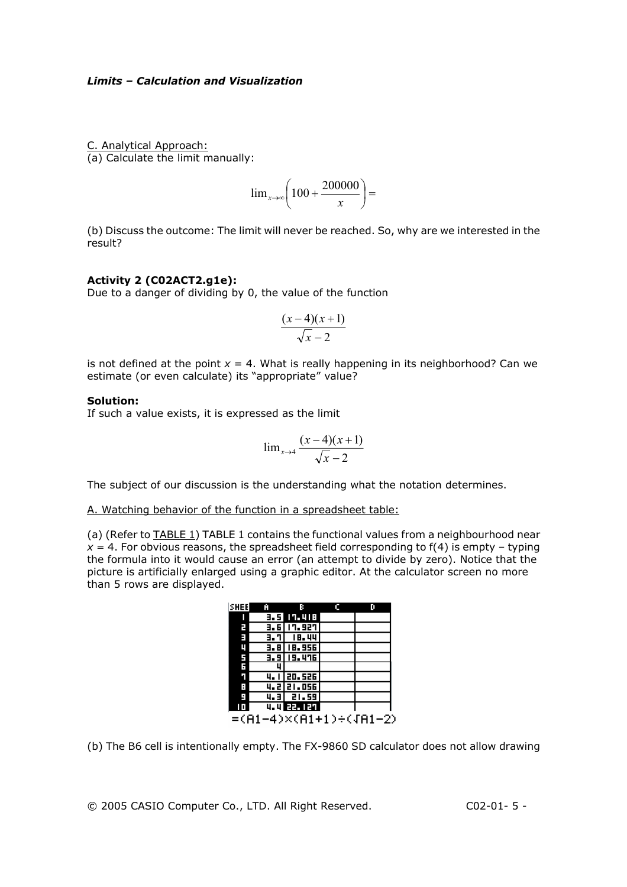C. Analytical Approach: (a) Calculate the limit manually:

$$
\lim_{x \to \infty} \left( 100 + \frac{200000}{x} \right) =
$$

(b) Discuss the outcome: The limit will never be reached. So, why are we interested in the result?

#### **Activity 2 (C02ACT2.g1e):**

Due to a danger of dividing by 0, the value of the function

$$
\frac{(x-4)(x+1)}{\sqrt{x-2}}
$$

is not defined at the point  $x = 4$ . What is really happening in its neighborhood? Can we estimate (or even calculate) its "appropriate" value?

#### **Solution:**

If such a value exists, it is expressed as the limit

$$
\lim_{x \to 4} \frac{(x-4)(x+1)}{\sqrt{x-2}}
$$

The subject of our discussion is the understanding what the notation determines.

A. Watching behavior of the function in a spreadsheet table:

(a) (Refer to TABLE 1) TABLE 1 contains the functional values from a neighbourhood near  $x = 4$ . For obvious reasons, the spreadsheet field corresponding to  $f(4)$  is empty – typing the formula into it would cause an error (an attempt to divide by zero). Notice that the picture is artificially enlarged using a graphic editor. At the calculator screen no more than 5 rows are displayed.

| ISHEE                  | Ĥ    |                 | г |  |
|------------------------|------|-----------------|---|--|
| ı                      |      | 3. S T 1. 418   |   |  |
| E                      |      | 3.6   17.927    |   |  |
| E                      | 3. T | <b>18.44</b>    |   |  |
| Ц                      |      | 3.8 I 18.956    |   |  |
| 5<br>G                 |      | 3.9 19.476      |   |  |
|                        |      |                 |   |  |
| ٦                      |      | 4. 1 20. 526    |   |  |
| в                      |      | 4.221.056       |   |  |
| E)                     |      | $4.3$ $1.59$    |   |  |
|                        |      | प. प हिन्दा हो। |   |  |
| =(A1-4)×(A1+1)÷(JA1-2) |      |                 |   |  |

(b) The B6 cell is intentionally empty. The FX-9860 SD calculator does not allow drawing

© 2005 CASIO Computer Co., LTD. All Right Reserved. C02-01- 5 -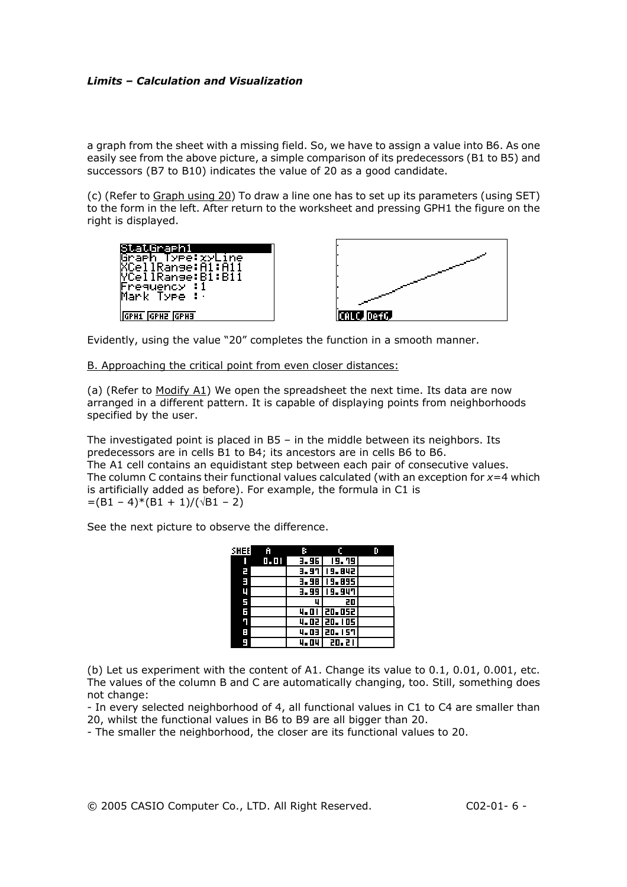a graph from the sheet with a missing field. So, we have to assign a value into B6. As one easily see from the above picture, a simple comparison of its predecessors (B1 to B5) and successors (B7 to B10) indicates the value of 20 as a good candidate.

(c) (Refer to Graph using 20) To draw a line one has to set up its parameters (using SET) to the form in the left. After return to the worksheet and pressing GPH1 the figure on the right is displayed.





Evidently, using the value "20" completes the function in a smooth manner.

B. Approaching the critical point from even closer distances:

(a) (Refer to Modify A1) We open the spreadsheet the next time. Its data are now arranged in a different pattern. It is capable of displaying points from neighborhoods specified by the user.

The investigated point is placed in B5 – in the middle between its neighbors. Its predecessors are in cells B1 to B4; its ancestors are in cells B6 to B6. The A1 cell contains an equidistant step between each pair of consecutive values. The column C contains their functional values calculated (with an exception for *x*=4 which is artificially added as before). For example, the formula in C1 is  $=(B1 - 4)*(B1 + 1)/(\sqrt{B1 - 2})$ 

See the next picture to observe the difference.

| SHEEI | - A | в |                 |  |
|-------|-----|---|-----------------|--|
|       | 1.1 |   | 3.96 19.79      |  |
| E     |     |   | $3.97$   19.842 |  |
| E     |     |   | 3.98   19.895   |  |
| ц     |     |   | 3.99   19.947   |  |
| 5     |     | п | 20              |  |
| F     |     |   | 4.01 20.052     |  |
| п     |     |   | 4.02 20.105     |  |
| Н     |     |   | 4.03 20.157     |  |
| н     |     |   | 4.04 20.21      |  |

(b) Let us experiment with the content of A1. Change its value to 0.1, 0.01, 0.001, etc. The values of the column B and C are automatically changing, too. Still, something does not change:

- In every selected neighborhood of 4, all functional values in C1 to C4 are smaller than 20, whilst the functional values in B6 to B9 are all bigger than 20.

- The smaller the neighborhood, the closer are its functional values to 20.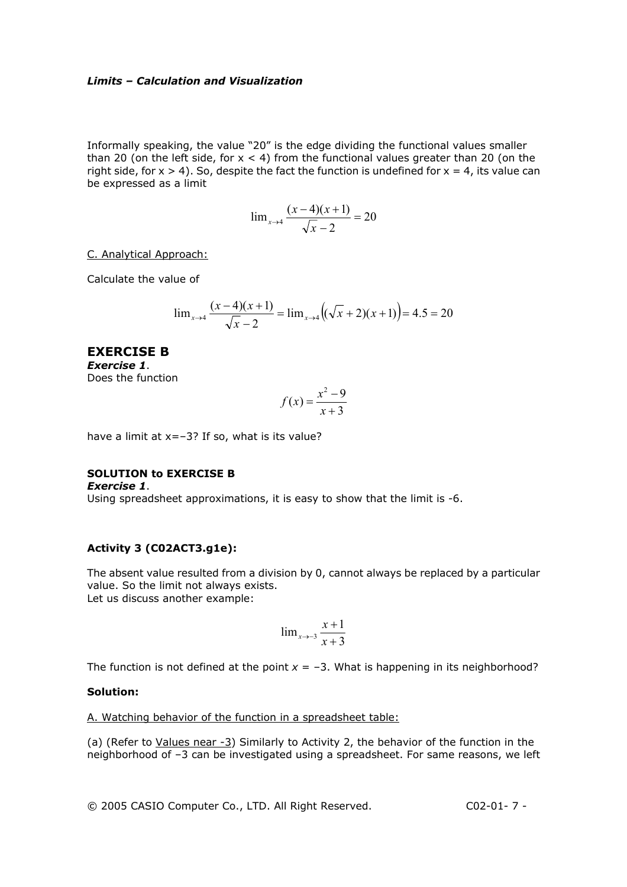Informally speaking, the value "20" is the edge dividing the functional values smaller than 20 (on the left side, for  $x < 4$ ) from the functional values greater than 20 (on the right side, for  $x > 4$ ). So, despite the fact the function is undefined for  $x = 4$ , its value can be expressed as a limit

$$
\lim_{x \to 4} \frac{(x-4)(x+1)}{\sqrt{x-2}} = 20
$$

C. Analytical Approach:

Calculate the value of

$$
\lim_{x \to 4} \frac{(x-4)(x+1)}{\sqrt{x-2}} = \lim_{x \to 4} \left( \sqrt{x} + 2 \right) (x+1) = 4.5 = 20
$$

## **EXERCISE B**  *Exercise 1*. Does the function

$$
f(x) = \frac{x^2 - 9}{x + 3}
$$

have a limit at  $x=-3$ ? If so, what is its value?

## **SOLUTION to EXERCISE B**

*Exercise 1*. Using spreadsheet approximations, it is easy to show that the limit is -6.

### **Activity 3 (C02ACT3.g1e):**

The absent value resulted from a division by 0, cannot always be replaced by a particular value. So the limit not always exists. Let us discuss another example:

$$
\lim_{x \to -3} \frac{x+1}{x+3}
$$

The function is not defined at the point  $x = -3$ . What is happening in its neighborhood?

#### **Solution:**

A. Watching behavior of the function in a spreadsheet table:

(a) (Refer to Values near -3) Similarly to Activity 2, the behavior of the function in the neighborhood of –3 can be investigated using a spreadsheet. For same reasons, we left

© 2005 CASIO Computer Co., LTD. All Right Reserved. C02-01- 7 -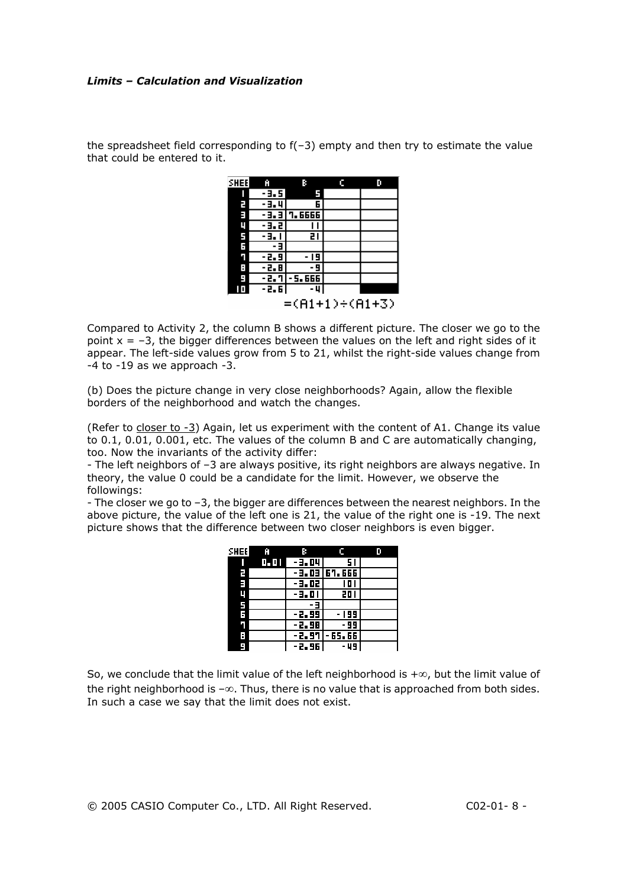the spreadsheet field corresponding to  $f(-3)$  empty and then try to estimate the value that could be entered to it.

| <b>SHEE</b>    | Ĥ       | R                     | c | ю |
|----------------|---------|-----------------------|---|---|
| I              | -9.5    |                       |   |   |
| E              | - 3. 4  | 6                     |   |   |
| E              |         | <b>- 3. 3 7. 6666</b> |   |   |
| ų              | -9.2    |                       |   |   |
| Ē              | - 3. 1  | 21                    |   |   |
| 6<br>7         | Е       |                       |   |   |
|                | -2.9    | - 19                  |   |   |
| Ì.             | -2.8    | 9                     |   |   |
| Ŀ,             | - 2. 71 | - 5. 666              |   |   |
| Ш              | - 2. 61 | -4                    |   |   |
| =(A1+1)÷(A1+3) |         |                       |   |   |

Compared to Activity 2, the column B shows a different picture. The closer we go to the point  $x = -3$ , the bigger differences between the values on the left and right sides of it appear. The left-side values grow from 5 to 21, whilst the right-side values change from -4 to -19 as we approach -3.

(b) Does the picture change in very close neighborhoods? Again, allow the flexible borders of the neighborhood and watch the changes.

(Refer to closer to -3) Again, let us experiment with the content of A1. Change its value to 0.1, 0.01, 0.001, etc. The values of the column B and C are automatically changing, too. Now the invariants of the activity differ:

- The left neighbors of –3 are always positive, its right neighbors are always negative. In theory, the value 0 could be a candidate for the limit. However, we observe the followings:

- The closer we go to –3, the bigger are differences between the nearest neighbors. In the above picture, the value of the left one is 21, the value of the right one is -19. The next picture shows that the difference between two closer neighbors is even bigger.

| <b>SHEE</b> | Ĥ     | в        |                  | n |
|-------------|-------|----------|------------------|---|
|             | 0. OH | - 3. 04  | 51               |   |
| E           |       |          | - 3.03 67.666    |   |
| E           |       | - 3. 02  | 101              |   |
| ų           |       | - 3. 0 1 | 201              |   |
| 5           |       |          |                  |   |
| F           |       | $-2.99$  | - 199            |   |
| Γ           |       | -2.98    | · 99             |   |
| F           |       |          | - 2.97   - 65.66 |   |
|             |       | -2.96    | - 49             |   |

So, we conclude that the limit value of the left neighborhood is +∞, but the limit value of the right neighborhood is –∞. Thus, there is no value that is approached from both sides. In such a case we say that the limit does not exist.